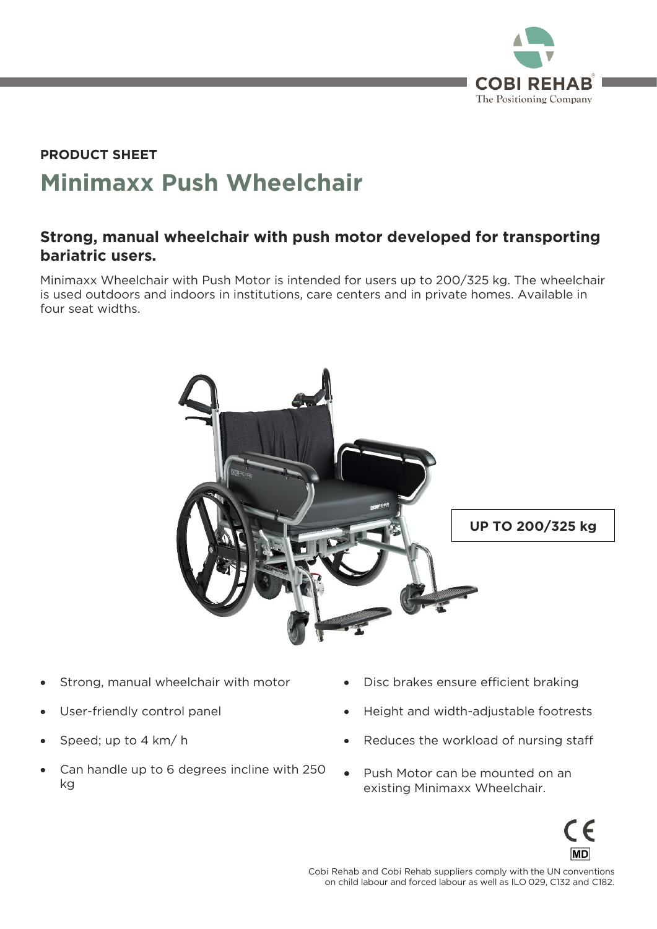

# **Minimaxx Push Wheelchair PRODUCT SHEET**

## **Strong, manual wheelchair with push motor developed for transporting bariatric users.**

Minimaxx Wheelchair with Push Motor is intended for users up to 200/325 kg. The wheelchair is used outdoors and indoors in institutions, care centers and in private homes. Available in four seat widths. four seat widths.



- Strong, manual wheelchair with motor
- User-friendly control panel
- Speed; up to 4 km/ h
- Can handle up to 6 degrees incline with 250 kg  $\ddot{\phantom{1}}$
- Disc brakes ensure efficient braking
- Height and width-adjustable footrests
- Reduces the workload of nursing staff
- Push Motor can be mounted on an existing Minimaxx Wheelchair.

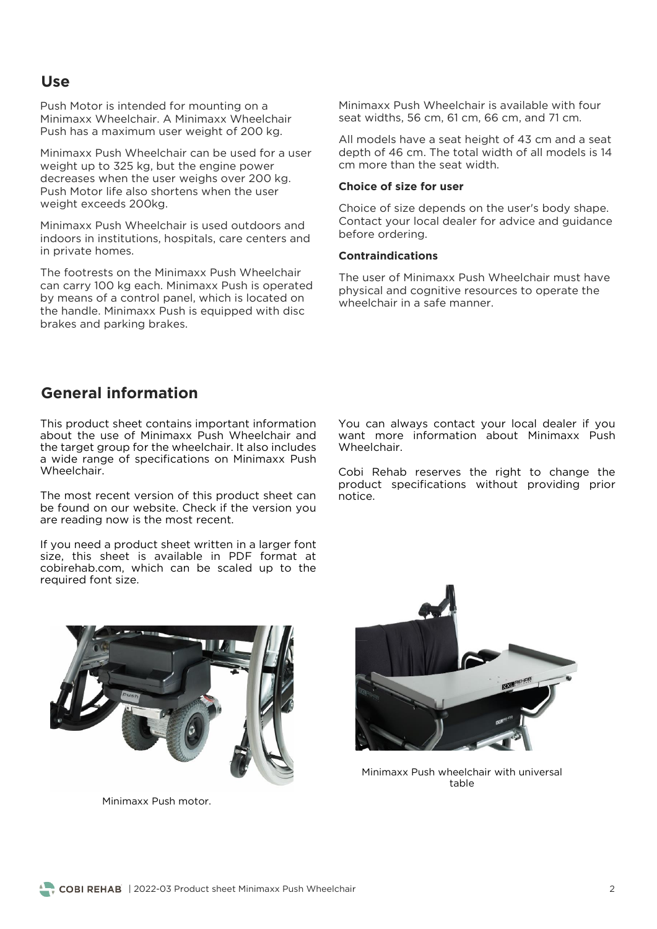### **Use**

Push Motor is intended for mounting on a Push has a maximum user weight of 200 kg. Push has a maximum user weight of 200 kg.

Minimaxx Push Wheelchair can be used for a user<br>weight up to 325 kg, but the engine power decreases when the user weighs over 200 kg. Push Motor life also shortens when the user weight exceeds 200kg. weight exceeds 200 $\mu$ 

Minimaxx Push Wheelchair is used outdoors and indoors in institutions, hospitals, care centers and in private homes. in private homes.

The footrests on the Minimaxx Push Wheelchair<br>can carry 100 kg each. Minimaxx Push is operated by means of a control panel, which is located on the handle. Minimaxx Push is equipped with disc brakes and parking brakes. brakes and parking brakes.

Minimaxx Push Wheelchair is available with four seat widths,  $56 \text{ cm}$ ,  $61 \text{ cm}$ ,  $66 \text{ cm}$ , and  $71 \text{ cm}$ . seat widths, 56 cm, 61 cm, 66 cm, and 71 cm.

All models have a seat height of 43 cm and a seat depth of 46 cm. The total width of all models is 14 cm more than the seat width.

#### **Choice of size for user**

Choice of size depends on the user's body shape.<br>Contact your local dealer for advice and guidance before ordering. before ordering.

#### **Contraindications**

The user of Minimaxx Push Wheelchair must have physical and cognitive resources to operate the  $\nu$  and contain  $\alpha$  and  $\alpha$  and  $\alpha$  operations to  $\alpha$  operations to  $\alpha$ 

### **General information**

This product sheet contains important information<br>about the use of Minimaxx Push Wheelchair and the target group for the wheelchair. It also includes a wide range of specifications on Minimaxx Push. Wheelchair. Wheelchair.

The most recent version of this product sheet can<br>be found on our website. Check if the version you are reading now is the most recent. are reading now is the most recent.

If you need a product sheet written in a larger font size, this sheet is available in PDF format at cobirehab.com, which can be scaled up to the required font size. required font size.

You can always contact your local dealer if you<br>want more information about Minimaxx Push Wheelchair more information about Minimax Wheelchair.

product specifications without providing prior product specifications with providing providing providing providing providing providing providing providing pr<br>Providing prior by a providing providing providing providing providing providing providing providing providing





Minimaxx Push wheelchair with universal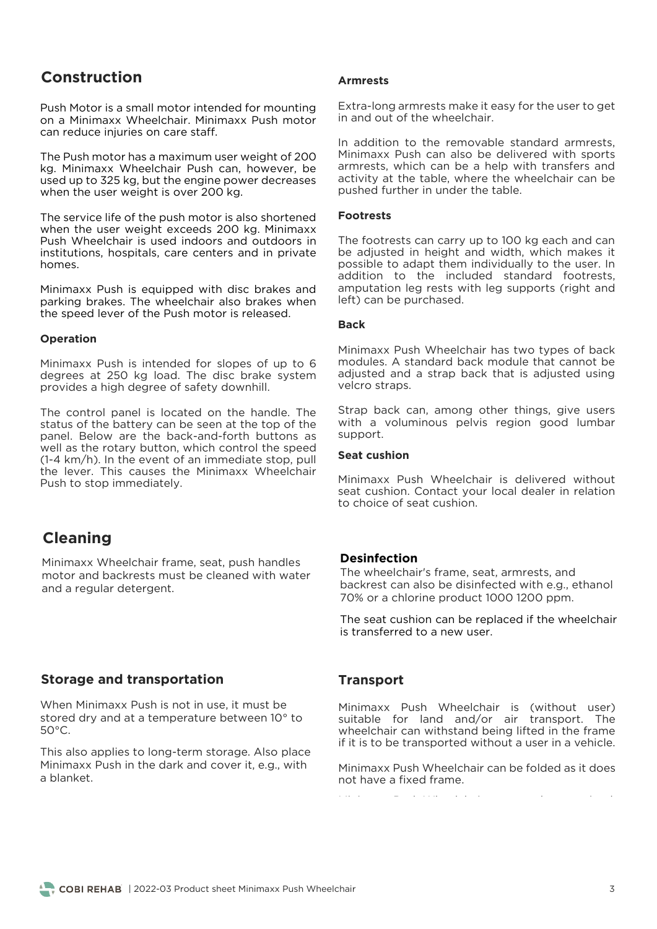# **Construction**

Push Motor is a small motor intended for mounting on a Minimaxx Wheelchair. Minimaxx Push motor can reduce injuries on care staff. can reduce injuries on care staff.

The Push motor has a maximum user weight of 200 kg. Minimaxx Wheelchair Push can, however, be used up to 325 kg, but the engine power decreases when the user weight is over 200 kg. when the user weight is over 200 kg.

The service life of the push motor is also shortened<br>when the user weight exceeds 200 kg. Minimaxx Push Wheelchair is used indoors and outdoors in institutions, hospitals, care centers and in private institutions, hospitals, care centers and in private

Minimaxx Push is equipped with disc brakes and  $\frac{1}{2}$  in a speed lever of the Push motor is released. the speed lever of the Push motor is released.

#### **Operation**

Minimaxx Push is intended for slopes of up to 6 degrees at 250 kg load. The disc brake system degrees at 250 kg load. The disc where system provides a high degree of safety downhill.

The control panel is located on the handle. The status of the battery can be seen at the top of the panel. Below are the back-and-forth buttons as well as the rotary button, which control the speed  $(1-4 \text{ km/h})$ . In the event of an immediate stop, pull the lever. This causes the Minimaxx Wheelchair Push to stop immediately. Push to stop immediately.

### **Cleaning**

Minimaxx Wheelchair frame, seat, push handles and a regular detergent. and a regular detergent.

### **Storage and transportation**

When Minimaxx Push is not in use, it must be stored dry and at a temperature between 10° to stored dry and at a temperature between 10° to  $\mathcal{F}^{\mathcal{F}}_{\mathcal{F}}$ 

This also applies to long-term storage. Also place<br>Minimaxx Push in the dark and cover it, e.g., with a blanket.

#### **Armrests**

Extra-long armrests make it easy for the user to get<br>in and out of the wheelchair.

In addition to the removable standard armrests. Minimaxx Push can also be delivered with sports armrests, which can be a help with transfers and activity at the table, where the wheelchair can be pushed further in under the table. pushed further in under the table.

#### **Footrests**

The footrests can carry up to 100 kg each and can be adjusted in height and width, which makes it possible to adapt them individually to the user. In addition to the included standard footrests. amputation leg rests with leg supports (right and left) can be purchased. left) can be purchased.

#### **Back**

Minimaxx Push Wheelchair has two types of back adjusted and a strap back that is adjusted using velcro straps. velcro straps.

Strap back can, among other things, give users<br>with a voluminous pelvis region good lumbar support. support.

#### **Seat cushion**

Minimaxx Push Wheelchair is delivered without seat cushion. Contact your local dealer in relation to choice of seat cushion.

### **Desinfection**

The wheelchair's frame, seat, armrests, and<br>backrest can also be disinfected with e.g., ethanol 70% or a chlorine product 1000 1200 ppm. 70% or a chlorine product 1000 1200 ppm.

The seat cushion can be replaced if the wheelchair<br>is transferred to a new user.

### **Transport**

Minimaxx Push Wheelchair is (without user)<br>suitable for land and/or air transport. The wheelchair can withstand being lifted in the frame if it is to be transported without a user in a vehicle. if it is to be transported without a user in a vehicle.

Minimaxx Push Wheelchair can be folded as it does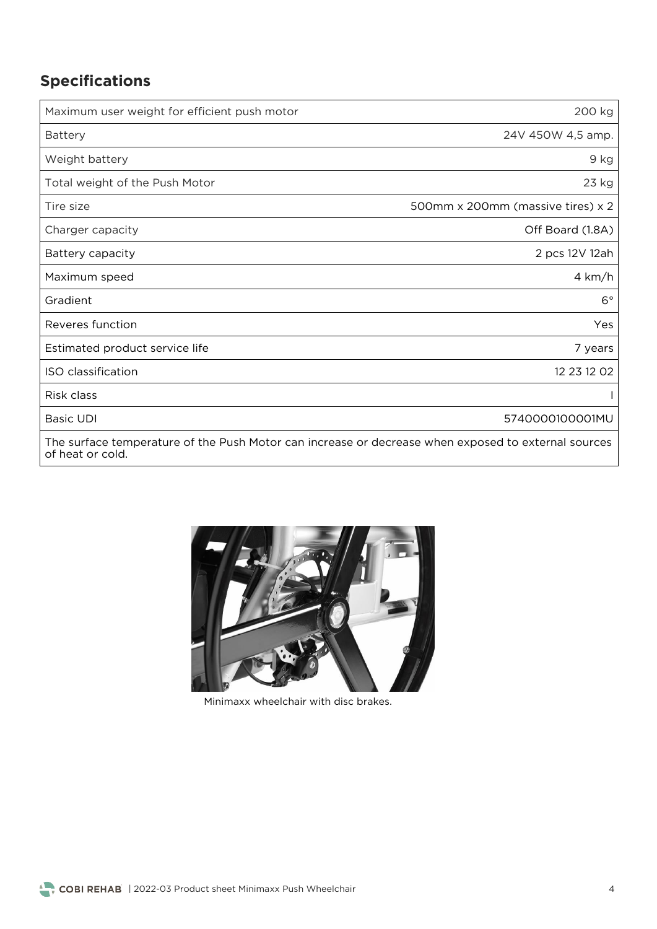# **Specifications**

of heat or cold.

| Maximum user weight for efficient push motor                                                                            | 200 kg                            |
|-------------------------------------------------------------------------------------------------------------------------|-----------------------------------|
| <b>Battery</b>                                                                                                          | 24V 450W 4,5 amp.                 |
| Weight battery                                                                                                          | 9 kg                              |
| Total weight of the Push Motor                                                                                          | 23 kg                             |
| Tire size                                                                                                               | 500mm x 200mm (massive tires) x 2 |
| Charger capacity                                                                                                        | Off Board (1.8A)                  |
| Battery capacity                                                                                                        | 2 pcs 12V 12ah                    |
| Maximum speed                                                                                                           | 4 km/h                            |
| Gradient                                                                                                                | $6^{\circ}$                       |
| Reveres function                                                                                                        | Yes                               |
| Estimated product service life                                                                                          | 7 years                           |
| ISO classification                                                                                                      | 12 23 12 02                       |
| Risk class                                                                                                              |                                   |
| <b>Basic UDI</b>                                                                                                        | 5740000100001MU                   |
| The surface temperature of the Push Motor can increase or decrease when exposed to external sources<br>of heat or cold. |                                   |



Minimaxx wheelchair with disc brakes.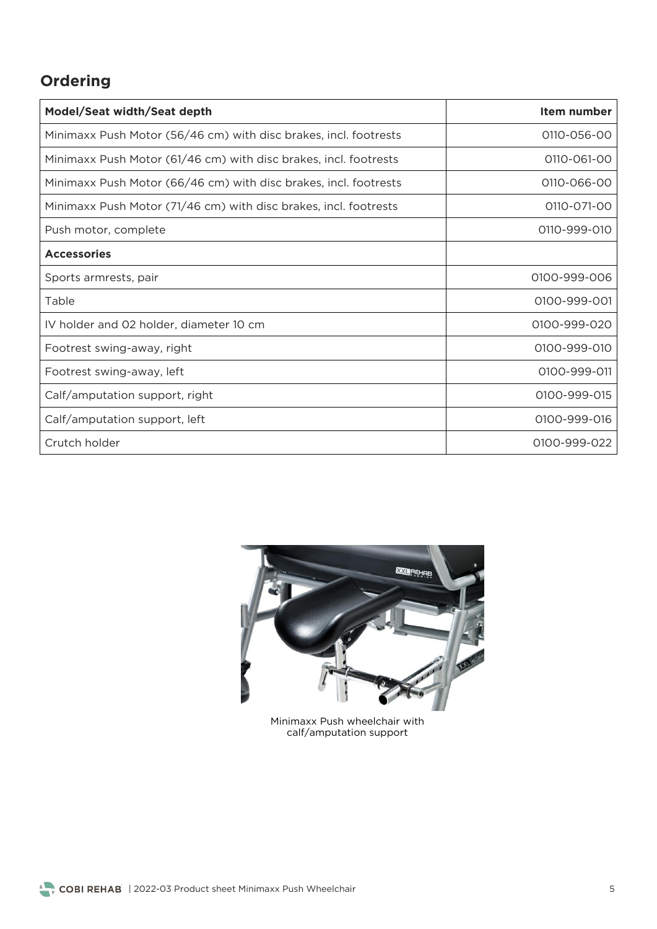# **Ordering**

| Model/Seat width/Seat depth                                      | Item number  |
|------------------------------------------------------------------|--------------|
| Minimaxx Push Motor (56/46 cm) with disc brakes, incl. footrests | 0110-056-00  |
| Minimaxx Push Motor (61/46 cm) with disc brakes, incl. footrests | 0110-061-00  |
| Minimaxx Push Motor (66/46 cm) with disc brakes, incl. footrests | 0110-066-00  |
| Minimaxx Push Motor (71/46 cm) with disc brakes, incl. footrests | 0110-071-00  |
| Push motor, complete                                             | 0110-999-010 |
| <b>Accessories</b>                                               |              |
| Sports armrests, pair                                            | 0100-999-006 |
| Table                                                            | 0100-999-001 |
| IV holder and 02 holder, diameter 10 cm                          | 0100-999-020 |
| Footrest swing-away, right                                       | 0100-999-010 |
| Footrest swing-away, left                                        | 0100-999-011 |
| Calf/amputation support, right                                   | 0100-999-015 |
| Calf/amputation support, left                                    | 0100-999-016 |
| Crutch holder                                                    | 0100-999-022 |



calf/amputation support calf/amputation support